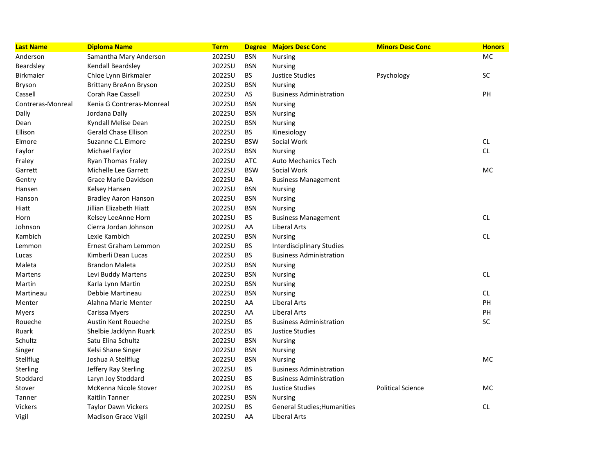| <b>Last Name</b>  | <b>Diploma Name</b>           | <b>Term</b> |            | <b>Degree Majors Desc Conc</b>     | <b>Minors Desc Conc</b>  | <b>Honors</b> |
|-------------------|-------------------------------|-------------|------------|------------------------------------|--------------------------|---------------|
| Anderson          | Samantha Mary Anderson        | 2022SU      | <b>BSN</b> | <b>Nursing</b>                     |                          | <b>MC</b>     |
| Beardsley         | Kendall Beardsley             | 2022SU      | <b>BSN</b> | <b>Nursing</b>                     |                          |               |
| <b>Birkmaier</b>  | Chloe Lynn Birkmaier          | 2022SU      | BS.        | Justice Studies                    | Psychology               | <b>SC</b>     |
| <b>Bryson</b>     | <b>Brittany BreAnn Bryson</b> | 2022SU      | <b>BSN</b> | <b>Nursing</b>                     |                          |               |
| Cassell           | Corah Rae Cassell             | 2022SU      | AS         | <b>Business Administration</b>     |                          | PH            |
| Contreras-Monreal | Kenia G Contreras-Monreal     | 2022SU      | <b>BSN</b> | Nursing                            |                          |               |
| Dally             | Jordana Dally                 | 2022SU      | <b>BSN</b> | <b>Nursing</b>                     |                          |               |
| Dean              | Kyndall Melise Dean           | 2022SU      | <b>BSN</b> | <b>Nursing</b>                     |                          |               |
| Ellison           | <b>Gerald Chase Ellison</b>   | 2022SU      | BS.        | Kinesiology                        |                          |               |
| Elmore            | Suzanne C.L Elmore            | 2022SU      | <b>BSW</b> | Social Work                        |                          | CL            |
| Faylor            | Michael Faylor                | 2022SU      | <b>BSN</b> | <b>Nursing</b>                     |                          | <b>CL</b>     |
| Fraley            | Ryan Thomas Fraley            | 2022SU      | <b>ATC</b> | <b>Auto Mechanics Tech</b>         |                          |               |
| Garrett           | Michelle Lee Garrett          | 2022SU      | <b>BSW</b> | Social Work                        |                          | <b>MC</b>     |
| Gentry            | Grace Marie Davidson          | 2022SU      | BA         | <b>Business Management</b>         |                          |               |
| Hansen            | <b>Kelsey Hansen</b>          | 2022SU      | <b>BSN</b> | <b>Nursing</b>                     |                          |               |
| Hanson            | <b>Bradley Aaron Hanson</b>   | 2022SU      | <b>BSN</b> | Nursing                            |                          |               |
| Hiatt             | Jillian Elizabeth Hiatt       | 2022SU      | <b>BSN</b> | Nursing                            |                          |               |
| Horn              | Kelsey LeeAnne Horn           | 2022SU      | BS         | <b>Business Management</b>         |                          | CL            |
| Johnson           | Cierra Jordan Johnson         | 2022SU      | AA         | Liberal Arts                       |                          |               |
| Kambich           | Lexie Kambich                 | 2022SU      | <b>BSN</b> | <b>Nursing</b>                     |                          | <b>CL</b>     |
| Lemmon            | Ernest Graham Lemmon          | 2022SU      | <b>BS</b>  | <b>Interdisciplinary Studies</b>   |                          |               |
| Lucas             | Kimberli Dean Lucas           | 2022SU      | <b>BS</b>  | <b>Business Administration</b>     |                          |               |
| Maleta            | <b>Brandon Maleta</b>         | 2022SU      | <b>BSN</b> | <b>Nursing</b>                     |                          |               |
| Martens           | Levi Buddy Martens            | 2022SU      | <b>BSN</b> | <b>Nursing</b>                     |                          | CL            |
| Martin            | Karla Lynn Martin             | 2022SU      | <b>BSN</b> | <b>Nursing</b>                     |                          |               |
| Martineau         | Debbie Martineau              | 2022SU      | <b>BSN</b> | <b>Nursing</b>                     |                          | <b>CL</b>     |
| Menter            | Alahna Marie Menter           | 2022SU      | AA         | <b>Liberal Arts</b>                |                          | PH            |
| <b>Myers</b>      | Carissa Myers                 | 2022SU      | AA         | Liberal Arts                       |                          | PH            |
| Roueche           | Austin Kent Roueche           | 2022SU      | BS         | <b>Business Administration</b>     |                          | SC            |
| Ruark             | Shelbie Jacklynn Ruark        | 2022SU      | BS         | Justice Studies                    |                          |               |
| Schultz           | Satu Elina Schultz            | 2022SU      | <b>BSN</b> | <b>Nursing</b>                     |                          |               |
| Singer            | Kelsi Shane Singer            | 2022SU      | <b>BSN</b> | Nursing                            |                          |               |
| Stellflug         | Joshua A Stellflug            | 2022SU      | <b>BSN</b> | <b>Nursing</b>                     |                          | <b>MC</b>     |
| Sterling          | Jeffery Ray Sterling          | 2022SU      | <b>BS</b>  | <b>Business Administration</b>     |                          |               |
| Stoddard          | Laryn Joy Stoddard            | 2022SU      | BS         | <b>Business Administration</b>     |                          |               |
| Stover            | McKenna Nicole Stover         | 2022SU      | <b>BS</b>  | Justice Studies                    | <b>Political Science</b> | <b>MC</b>     |
| Tanner            | Kaitlin Tanner                | 2022SU      | <b>BSN</b> | <b>Nursing</b>                     |                          |               |
| <b>Vickers</b>    | <b>Taylor Dawn Vickers</b>    | 2022SU      | <b>BS</b>  | <b>General Studies; Humanities</b> |                          | <b>CL</b>     |
| Vigil             | <b>Madison Grace Vigil</b>    | 2022SU      | AA         | Liberal Arts                       |                          |               |